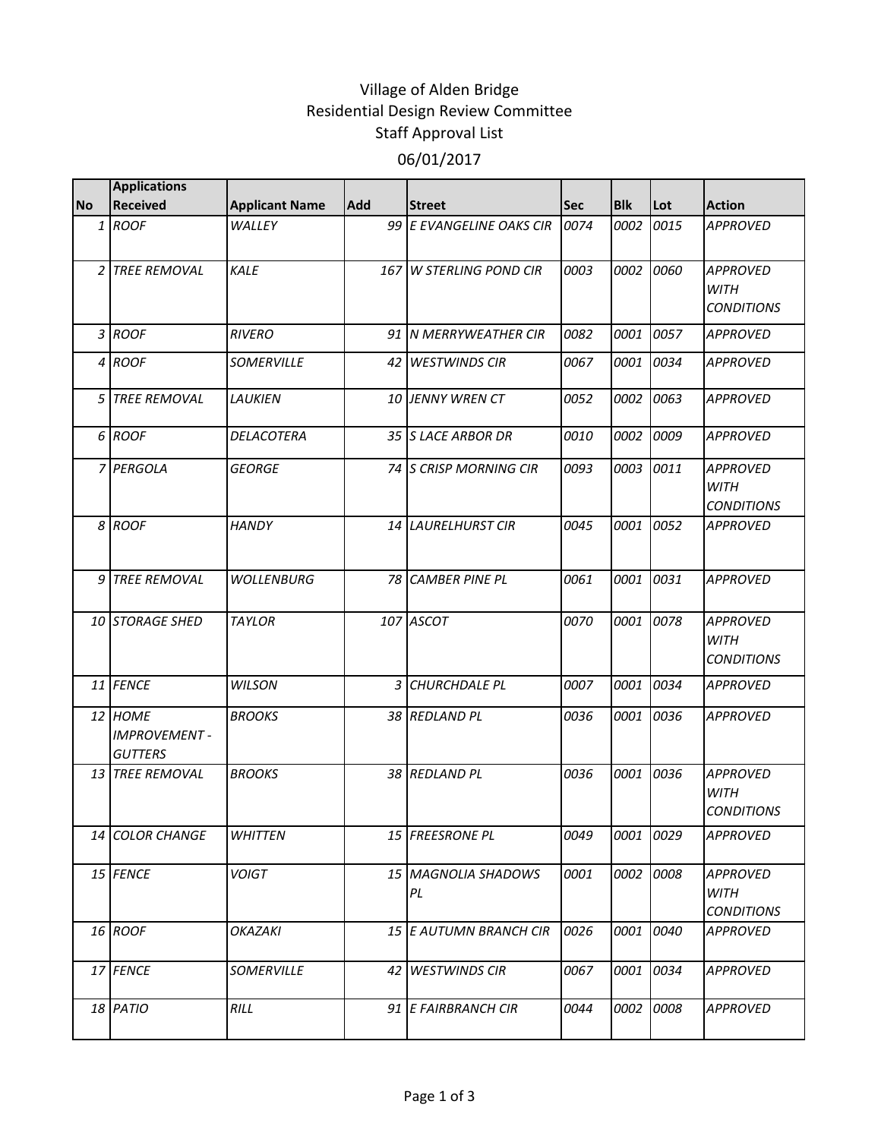## Village of Alden Bridge Residential Design Review Committee Staff Approval List 06/01/2017

|           | <b>Applications</b>                              |                       |            |                           |      |            |           |                                                     |
|-----------|--------------------------------------------------|-----------------------|------------|---------------------------|------|------------|-----------|-----------------------------------------------------|
| <b>No</b> | <b>Received</b>                                  | <b>Applicant Name</b> | <b>Add</b> | <b>Street</b>             | Sec  | <b>Blk</b> | Lot       | <b>Action</b>                                       |
|           | 1 ROOF                                           | WALLEY                |            | 99 E EVANGELINE OAKS CIR  | 0074 | 0002       | 0015      | <b>APPROVED</b>                                     |
|           | 2 TREE REMOVAL                                   | KALF                  |            | 167 W STERLING POND CIR   | 0003 | 0002       | 0060      | <b>APPROVED</b><br><b>WITH</b><br><b>CONDITIONS</b> |
|           | 3 ROOF                                           | <b>RIVERO</b>         |            | 91 N MERRYWEATHER CIR     | 0082 | 0001       | 0057      | <b>APPROVED</b>                                     |
|           | 4 ROOF                                           | SOMERVILLE            |            | 42 WESTWINDS CIR          | 0067 | 0001       | 0034      | <b>APPROVED</b>                                     |
|           | 5 TREE REMOVAL                                   | LAUKIEN               |            | 10 JENNY WREN CT          | 0052 | 0002       | 0063      | <b>APPROVED</b>                                     |
|           | 6 ROOF                                           | DELACOTERA            |            | 35 S LACE ARBOR DR        | 0010 | 0002       | 0009      | <b>APPROVED</b>                                     |
|           | 7 PERGOLA                                        | <b>GEORGE</b>         |            | 74 S CRISP MORNING CIR    | 0093 | 0003       | 0011      | <b>APPROVED</b><br><b>WITH</b><br><b>CONDITIONS</b> |
|           | 8 ROOF                                           | HANDY                 |            | 14 LAURELHURST CIR        | 0045 | 0001 0052  |           | <b>APPROVED</b>                                     |
| 9         | <b>TREE REMOVAL</b>                              | <b>WOLLENBURG</b>     |            | <b>78 CAMBER PINE PL</b>  | 0061 | 0001       | 0031      | <b>APPROVED</b>                                     |
|           | 10 STORAGE SHED                                  | <b>TAYLOR</b>         |            | 107 ASCOT                 | 0070 | 0001 0078  |           | <b>APPROVED</b><br><b>WITH</b><br><b>CONDITIONS</b> |
|           | 11 FENCE                                         | <b>WILSON</b>         | 3          | <b>CHURCHDALE PL</b>      | 0007 | 0001       | 0034      | <b>APPROVED</b>                                     |
|           | 12 HOME<br><b>IMPROVEMENT-</b><br><b>GUTTERS</b> | <b>BROOKS</b>         |            | 38 REDLAND PL             | 0036 | 0001       | 0036      | <b>APPROVED</b>                                     |
|           | 13 TREE REMOVAL                                  | <b>BROOKS</b>         |            | 38 REDLAND PL             | 0036 | 0001 0036  |           | <b>APPROVED</b><br><b>WITH</b><br><b>CONDITIONS</b> |
|           | 14 COLOR CHANGE                                  | <b>WHITTEN</b>        |            | 15 FREESRONE PL           | 0049 | 0001 0029  |           | <b>APPROVED</b>                                     |
|           | 15 FENCE                                         | <b>VOIGT</b>          |            | 15 MAGNOLIA SHADOWS<br>PL | 0001 |            | 0002 0008 | <b>APPROVED</b><br>WITH<br><b>CONDITIONS</b>        |
|           | 16 ROOF                                          | <b>OKAZAKI</b>        |            | 15 E AUTUMN BRANCH CIR    | 0026 | 0001 0040  |           | <b>APPROVED</b>                                     |
|           | 17 FENCE                                         | SOMERVILLE            |            | 42 WESTWINDS CIR          | 0067 |            | 0001 0034 | <b>APPROVED</b>                                     |
|           | 18 PATIO                                         | RILL                  |            | 91 E FAIRBRANCH CIR       | 0044 |            | 0002 0008 | <b>APPROVED</b>                                     |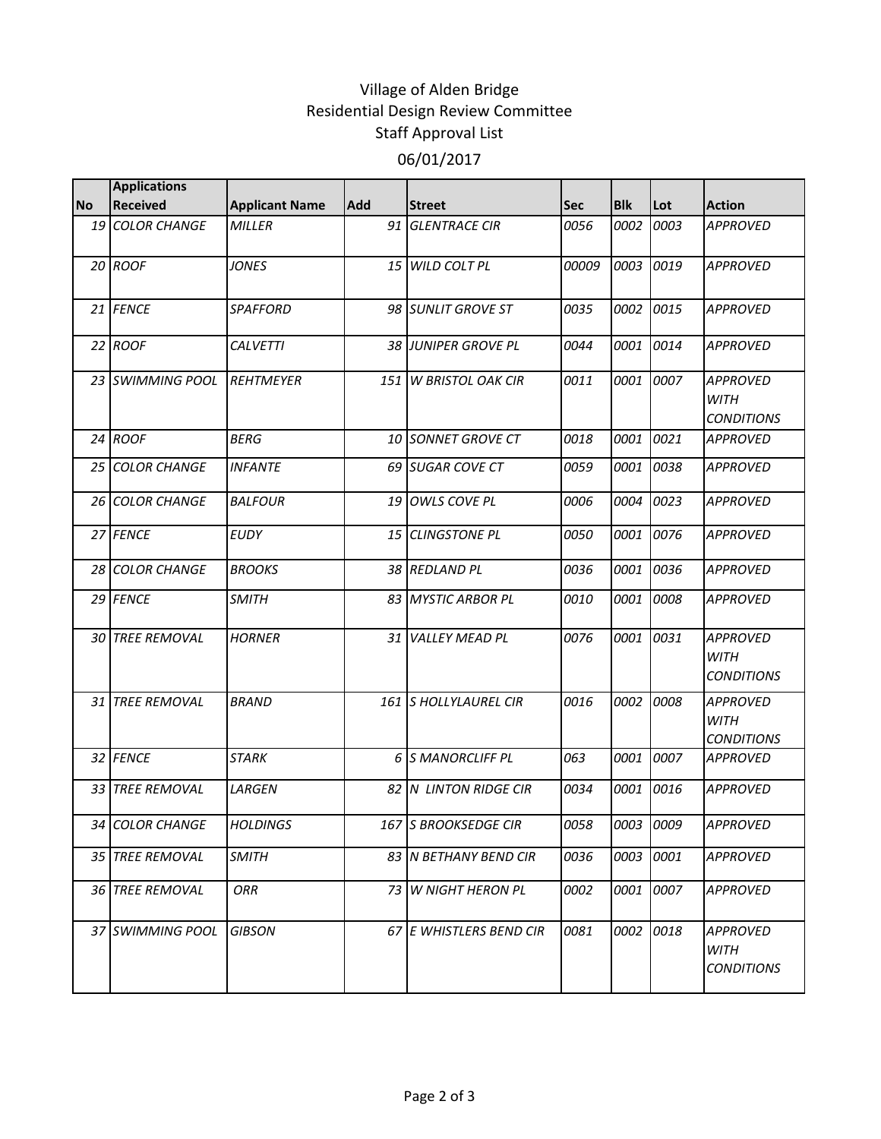## Village of Alden Bridge Residential Design Review Committee Staff Approval List 06/01/2017

|           | <b>Applications</b>    |                       |                 |                              |            |            |           |                                                     |
|-----------|------------------------|-----------------------|-----------------|------------------------------|------------|------------|-----------|-----------------------------------------------------|
| <b>No</b> | <b>Received</b>        | <b>Applicant Name</b> | <b>Add</b>      | <b>Street</b>                | <b>Sec</b> | <b>Blk</b> | Lot       | <b>Action</b>                                       |
|           | 19 COLOR CHANGE        | <b>MILLER</b>         | 91              | <b>GLENTRACE CIR</b>         | 0056       | 0002       | 0003      | <b>APPROVED</b>                                     |
|           | 20 ROOF                | <b>JONES</b>          | 15 <sup>1</sup> | <b>WILD COLT PL</b>          | 00009      | 0003       | 0019      | <b>APPROVED</b>                                     |
|           | 21 FENCE               | <b>SPAFFORD</b>       |                 | 98 SUNLIT GROVE ST           | 0035       | 0002       | 0015      | <b>APPROVED</b>                                     |
|           | 22 ROOF                | <b>CALVETTI</b>       |                 | 38 JUNIPER GROVE PL          | 0044       | 0001       | 0014      | <b>APPROVED</b>                                     |
|           | 23 SWIMMING POOL       | <b>REHTMEYER</b>      |                 | 151 W BRISTOL OAK CIR        | 0011       | 0001       | 0007      | <b>APPROVED</b><br><b>WITH</b><br><b>CONDITIONS</b> |
|           | 24 ROOF                | <b>BERG</b>           |                 | 10 SONNET GROVE CT           | 0018       | 0001       | 0021      | <b>APPROVED</b>                                     |
|           | 25 COLOR CHANGE        | <b>INFANTE</b>        |                 | 69 SUGAR COVE CT             | 0059       | 0001       | 0038      | <b>APPROVED</b>                                     |
|           | 26 COLOR CHANGE        | <b>BALFOUR</b>        |                 | 19 OWLS COVE PL              | 0006       | 0004       | 0023      | <b>APPROVED</b>                                     |
|           | 27 FENCE               | <b>EUDY</b>           |                 | 15 CLINGSTONE PL             | 0050       | 0001       | 0076      | <b>APPROVED</b>                                     |
|           | 28 COLOR CHANGE        | <b>BROOKS</b>         |                 | 38 REDLAND PL                | 0036       | 0001       | 0036      | <b>APPROVED</b>                                     |
|           | 29 FENCE               | <b>SMITH</b>          |                 | 83 MYSTIC ARBOR PL           | 0010       | 0001       | 0008      | <b>APPROVED</b>                                     |
|           | 30 TREE REMOVAL        | <b>HORNER</b>         | 31 <sup>1</sup> | <b>VALLEY MEAD PL</b>        | 0076       | 0001       | 0031      | <b>APPROVED</b><br><b>WITH</b><br><b>CONDITIONS</b> |
|           | <b>31 TREE REMOVAL</b> | <b>BRAND</b>          |                 | <b>161 S HOLLYLAUREL CIR</b> | 0016       | 0002       | 0008      | <b>APPROVED</b><br><b>WITH</b><br><b>CONDITIONS</b> |
|           | 32 FENCE               | <b>STARK</b>          |                 | 6 S MANORCLIFF PL            | 063        | 0001       | 0007      | <b>APPROVED</b>                                     |
|           | 33 TREE REMOVAL        | LARGEN                |                 | 82 N LINTON RIDGE CIR        | 0034       | 0001       | 0016      | <b>APPROVED</b>                                     |
|           | 34 COLOR CHANGE        | <b>HOLDINGS</b>       |                 | 167 S BROOKSEDGE CIR         | 0058       |            | 0003 0009 | <b>APPROVED</b>                                     |
|           | 35 TREE REMOVAL        | <b>SMITH</b>          |                 | 83 IN BETHANY BEND CIR       | 0036       | 0003       | 0001      | <b>APPROVED</b>                                     |
|           | 36 TREE REMOVAL        | <b>ORR</b>            |                 | 73 W NIGHT HERON PL          | 0002       | 0001       | 0007      | <b>APPROVED</b>                                     |
|           | 37 SWIMMING POOL       | <b>GIBSON</b>         |                 | 67 E WHISTLERS BEND CIR      | 0081       | 0002       | 0018      | <b>APPROVED</b><br><b>WITH</b><br><b>CONDITIONS</b> |